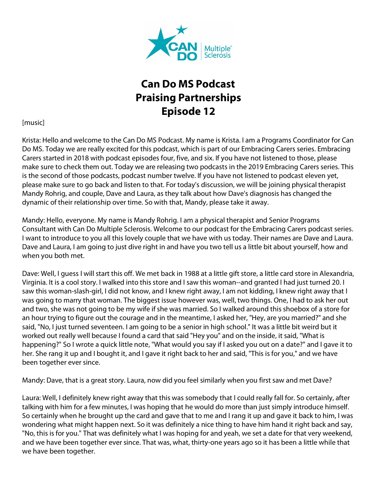

## **Can Do MS Podcast Praising Partnerships Episode 12**

[music]

Krista: Hello and welcome to the Can Do MS Podcast. My name is Krista. I am a Programs Coordinator for Can Do MS. Today we are really excited for this podcast, which is part of our Embracing Carers series. Embracing Carers started in 2018 with podcast episodes four, five, and six. If you have not listened to those, please make sure to check them out. Today we are releasing two podcasts in the 2019 Embracing Carers series. This is the second of those podcasts, podcast number twelve. If you have not listened to podcast eleven yet, please make sure to go back and listen to that. For today's discussion, we will be joining physical therapist Mandy Rohrig, and couple, Dave and Laura, as they talk about how Dave's diagnosis has changed the dynamic of their relationship over time. So with that, Mandy, please take it away.

Mandy: Hello, everyone. My name is Mandy Rohrig. I am a physical therapist and Senior Programs Consultant with Can Do Multiple Sclerosis. Welcome to our podcast for the Embracing Carers podcast series. I want to introduce to you all this lovely couple that we have with us today. Their names are Dave and Laura. Dave and Laura, I am going to just dive right in and have you two tell us a little bit about yourself, how and when you both met.

Dave: Well, I guess I will start this off. We met back in 1988 at a little gift store, a little card store in Alexandria, Virginia. It is a cool story. I walked into this store and I saw this woman--and granted I had just turned 20. I saw this woman-slash-girl, I did not know, and I knew right away, I am not kidding, I knew right away that I was going to marry that woman. The biggest issue however was, well, two things. One, I had to ask her out and two, she was not going to be my wife if she was married. So I walked around this shoebox of a store for an hour trying to figure out the courage and in the meantime, I asked her, "Hey, are you married?" and she said, "No, I just turned seventeen. I am going to be a senior in high school." It was a little bit weird but it worked out really well because I found a card that said "Hey you" and on the inside, it said, "What is happening?" So I wrote a quick little note, "What would you say if I asked you out on a date?" and I gave it to her. She rang it up and I bought it, and I gave it right back to her and said, "This is for you," and we have been together ever since.

Mandy: Dave, that is a great story. Laura, now did you feel similarly when you first saw and met Dave?

Laura: Well, I definitely knew right away that this was somebody that I could really fall for. So certainly, after talking with him for a few minutes, I was hoping that he would do more than just simply introduce himself. So certainly when he brought up the card and gave that to me and I rang it up and gave it back to him, I was wondering what might happen next. So it was definitely a nice thing to have him hand it right back and say, "No, this is for you." That was definitely what I was hoping for and yeah, we set a date for that very weekend, and we have been together ever since. That was, what, thirty-one years ago so it has been a little while that we have been together.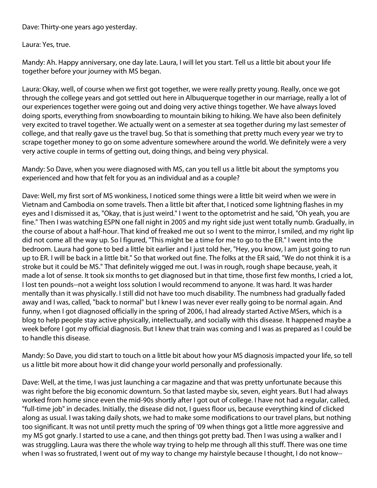Dave: Thirty-one years ago yesterday.

Laura: Yes, true.

Mandy: Ah. Happy anniversary, one day late. Laura, I will let you start. Tell us a little bit about your life together before your journey with MS began.

Laura: Okay, well, of course when we first got together, we were really pretty young. Really, once we got through the college years and got settled out here in Albuquerque together in our marriage, really a lot of our experiences together were going out and doing very active things together. We have always loved doing sports, everything from snowboarding to mountain biking to hiking. We have also been definitely very excited to travel together. We actually went on a semester at sea together during my last semester of college, and that really gave us the travel bug. So that is something that pretty much every year we try to scrape together money to go on some adventure somewhere around the world. We definitely were a very very active couple in terms of getting out, doing things, and being very physical.

Mandy: So Dave, when you were diagnosed with MS, can you tell us a little bit about the symptoms you experienced and how that felt for you as an individual and as a couple?

Dave: Well, my first sort of MS wonkiness, I noticed some things were a little bit weird when we were in Vietnam and Cambodia on some travels. Then a little bit after that, I noticed some lightning flashes in my eyes and I dismissed it as, "Okay, that is just weird." I went to the optometrist and he said, "Oh yeah, you are fine." Then I was watching ESPN one fall night in 2005 and my right side just went totally numb. Gradually, in the course of about a half-hour. That kind of freaked me out so I went to the mirror, I smiled, and my right lip did not come all the way up. So I figured, "This might be a time for me to go to the ER." I went into the bedroom. Laura had gone to bed a little bit earlier and I just told her, "Hey, you know, I am just going to run up to ER. I will be back in a little bit." So that worked out fine. The folks at the ER said, "We do not think it is a stroke but it could be MS." That definitely wigged me out. I was in rough, rough shape because, yeah, it made a lot of sense. It took six months to get diagnosed but in that time, those first few months, I cried a lot, I lost ten pounds--not a weight loss solution I would recommend to anyone. It was hard. It was harder mentally than it was physically. I still did not have too much disability. The numbness had gradually faded away and I was, called, "back to normal" but I knew I was never ever really going to be normal again. And funny, when I got diagnosed officially in the spring of 2006, I had already started Active MSers, which is a blog to help people stay active physically, intellectually, and socially with this disease. It happened maybe a week before I got my official diagnosis. But I knew that train was coming and I was as prepared as I could be to handle this disease.

Mandy: So Dave, you did start to touch on a little bit about how your MS diagnosis impacted your life, so tell us a little bit more about how it did change your world personally and professionally.

Dave: Well, at the time, I was just launching a car magazine and that was pretty unfortunate because this was right before the big economic downturn. So that lasted maybe six, seven, eight years. But I had always worked from home since even the mid-90s shortly after I got out of college. I have not had a regular, called, "full-time job" in decades. Initially, the disease did not, I guess floor us, because everything kind of clicked along as usual. I was taking daily shots, we had to make some modifications to our travel plans, but nothing too significant. It was not until pretty much the spring of '09 when things got a little more aggressive and my MS got gnarly. I started to use a cane, and then things got pretty bad. Then I was using a walker and I was struggling. Laura was there the whole way trying to help me through all this stuff. There was one time when I was so frustrated, I went out of my way to change my hairstyle because I thought, I do not know--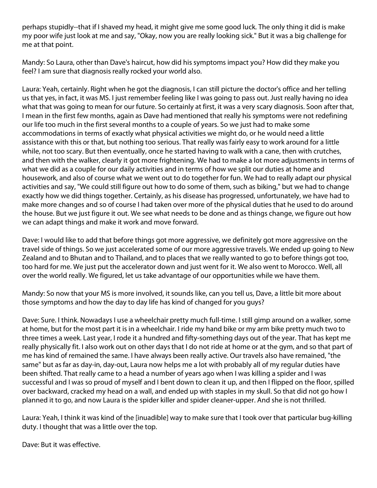perhaps stupidly--that if I shaved my head, it might give me some good luck. The only thing it did is make my poor wife just look at me and say, "Okay, now you are really looking sick." But it was a big challenge for me at that point.

Mandy: So Laura, other than Dave's haircut, how did his symptoms impact you? How did they make you feel? I am sure that diagnosis really rocked your world also.

Laura: Yeah, certainly. Right when he got the diagnosis, I can still picture the doctor's office and her telling us that yes, in fact, it was MS. I just remember feeling like I was going to pass out. Just really having no idea what that was going to mean for our future. So certainly at first, it was a very scary diagnosis. Soon after that, I mean in the first few months, again as Dave had mentioned that really his symptoms were not redefining our life too much in the first several months to a couple of years. So we just had to make some accommodations in terms of exactly what physical activities we might do, or he would need a little assistance with this or that, but nothing too serious. That really was fairly easy to work around for a little while, not too scary. But then eventually, once he started having to walk with a cane, then with crutches, and then with the walker, clearly it got more frightening. We had to make a lot more adjustments in terms of what we did as a couple for our daily activities and in terms of how we split our duties at home and housework, and also of course what we went out to do together for fun. We had to really adapt our physical activities and say, "We could still figure out how to do some of them, such as biking," but we had to change exactly how we did things together. Certainly, as his disease has progressed, unfortunately, we have had to make more changes and so of course I had taken over more of the physical duties that he used to do around the house. But we just figure it out. We see what needs to be done and as things change, we figure out how we can adapt things and make it work and move forward.

Dave: I would like to add that before things got more aggressive, we definitely got more aggressive on the travel side of things. So we just accelerated some of our more aggressive travels. We ended up going to New Zealand and to Bhutan and to Thailand, and to places that we really wanted to go to before things got too, too hard for me. We just put the accelerator down and just went for it. We also went to Morocco. Well, all over the world really. We figured, let us take advantage of our opportunities while we have them.

Mandy: So now that your MS is more involved, it sounds like, can you tell us, Dave, a little bit more about those symptoms and how the day to day life has kind of changed for you guys?

Dave: Sure. I think. Nowadays I use a wheelchair pretty much full-time. I still gimp around on a walker, some at home, but for the most part it is in a wheelchair. I ride my hand bike or my arm bike pretty much two to three times a week. Last year, I rode it a hundred and fifty-something days out of the year. That has kept me really physically fit. I also work out on other days that I do not ride at home or at the gym, and so that part of me has kind of remained the same. I have always been really active. Our travels also have remained, "the same" but as far as day-in, day-out, Laura now helps me a lot with probably all of my regular duties have been shifted. That really came to a head a number of years ago when I was killing a spider and I was successful and I was so proud of myself and I bent down to clean it up, and then I flipped on the floor, spilled over backward, cracked my head on a wall, and ended up with staples in my skull. So that did not go how I planned it to go, and now Laura is the spider killer and spider cleaner-upper. And she is not thrilled.

Laura: Yeah, I think it was kind of the [inuadible] way to make sure that I took over that particular bug-killing duty. I thought that was a little over the top.

Dave: But it was effective.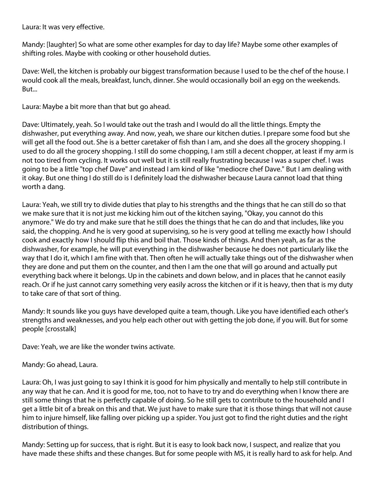Laura: It was very effective.

Mandy: [laughter] So what are some other examples for day to day life? Maybe some other examples of shifting roles. Maybe with cooking or other household duties.

Dave: Well, the kitchen is probably our biggest transformation because I used to be the chef of the house. I would cook all the meals, breakfast, lunch, dinner. She would occasionally boil an egg on the weekends. But...

Laura: Maybe a bit more than that but go ahead.

Dave: Ultimately, yeah. So I would take out the trash and I would do all the little things. Empty the dishwasher, put everything away. And now, yeah, we share our kitchen duties. I prepare some food but she will get all the food out. She is a better caretaker of fish than I am, and she does all the grocery shopping. I used to do all the grocery shopping. I still do some chopping, I am still a decent chopper, at least if my arm is not too tired from cycling. It works out well but it is still really frustrating because I was a super chef. I was going to be a little "top chef Dave" and instead I am kind of like "mediocre chef Dave." But I am dealing with it okay. But one thing I do still do is I definitely load the dishwasher because Laura cannot load that thing worth a dang.

Laura: Yeah, we still try to divide duties that play to his strengths and the things that he can still do so that we make sure that it is not just me kicking him out of the kitchen saying, "Okay, you cannot do this anymore." We do try and make sure that he still does the things that he can do and that includes, like you said, the chopping. And he is very good at supervising, so he is very good at telling me exactly how I should cook and exactly how I should flip this and boil that. Those kinds of things. And then yeah, as far as the dishwasher, for example, he will put everything in the dishwasher because he does not particularly like the way that I do it, which I am fine with that. Then often he will actually take things out of the dishwasher when they are done and put them on the counter, and then I am the one that will go around and actually put everything back where it belongs. Up in the cabinets and down below, and in places that he cannot easily reach. Or if he just cannot carry something very easily across the kitchen or if it is heavy, then that is my duty to take care of that sort of thing.

Mandy: It sounds like you guys have developed quite a team, though. Like you have identified each other's strengths and weaknesses, and you help each other out with getting the job done, if you will. But for some people [crosstalk]

Dave: Yeah, we are like the wonder twins activate.

## Mandy: Go ahead, Laura.

Laura: Oh, I was just going to say I think it is good for him physically and mentally to help still contribute in any way that he can. And it is good for me, too, not to have to try and do everything when I know there are still some things that he is perfectly capable of doing. So he still gets to contribute to the household and I get a little bit of a break on this and that. We just have to make sure that it is those things that will not cause him to injure himself, like falling over picking up a spider. You just got to find the right duties and the right distribution of things.

Mandy: Setting up for success, that is right. But it is easy to look back now, I suspect, and realize that you have made these shifts and these changes. But for some people with MS, it is really hard to ask for help. And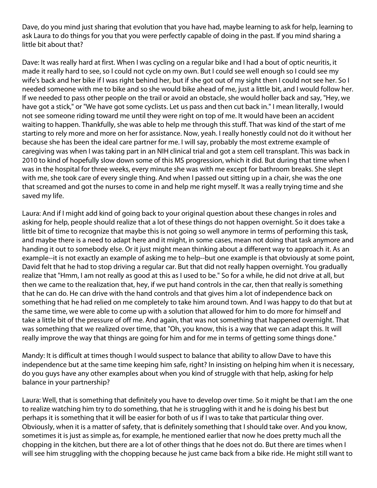Dave, do you mind just sharing that evolution that you have had, maybe learning to ask for help, learning to ask Laura to do things for you that you were perfectly capable of doing in the past. If you mind sharing a little bit about that?

Dave: It was really hard at first. When I was cycling on a regular bike and I had a bout of optic neuritis, it made it really hard to see, so I could not cycle on my own. But I could see well enough so I could see my wife's back and her bike if I was right behind her, but if she got out of my sight then I could not see her. So I needed someone with me to bike and so she would bike ahead of me, just a little bit, and I would follow her. If we needed to pass other people on the trail or avoid an obstacle, she would holler back and say, "Hey, we have got a stick," or "We have got some cyclists. Let us pass and then cut back in." I mean literally, I would not see someone riding toward me until they were right on top of me. It would have been an accident waiting to happen. Thankfully, she was able to help me through this stuff. That was kind of the start of me starting to rely more and more on her for assistance. Now, yeah. I really honestly could not do it without her because she has been the ideal care partner for me. I will say, probably the most extreme example of caregiving was when I was taking part in an NIH clinical trial and got a stem cell transplant. This was back in 2010 to kind of hopefully slow down some of this MS progression, which it did. But during that time when I was in the hospital for three weeks, every minute she was with me except for bathroom breaks. She slept with me, she took care of every single thing. And when I passed out sitting up in a chair, she was the one that screamed and got the nurses to come in and help me right myself. It was a really trying time and she saved my life.

Laura: And if I might add kind of going back to your original question about these changes in roles and asking for help, people should realize that a lot of these things do not happen overnight. So it does take a little bit of time to recognize that maybe this is not going so well anymore in terms of performing this task, and maybe there is a need to adapt here and it might, in some cases, mean not doing that task anymore and handing it out to somebody else. Or it just might mean thinking about a different way to approach it. As an example--it is not exactly an example of asking me to help--but one example is that obviously at some point, David felt that he had to stop driving a regular car. But that did not really happen overnight. You gradually realize that "Hmm, I am not really as good at this as I used to be." So for a while, he did not drive at all, but then we came to the realization that, hey, if we put hand controls in the car, then that really is something that he can do. He can drive with the hand controls and that gives him a lot of independence back on something that he had relied on me completely to take him around town. And I was happy to do that but at the same time, we were able to come up with a solution that allowed for him to do more for himself and take a little bit of the pressure of off me. And again, that was not something that happened overnight. That was something that we realized over time, that "Oh, you know, this is a way that we can adapt this. It will really improve the way that things are going for him and for me in terms of getting some things done."

Mandy: It is difficult at times though I would suspect to balance that ability to allow Dave to have this independence but at the same time keeping him safe, right? In insisting on helping him when it is necessary, do you guys have any other examples about when you kind of struggle with that help, asking for help balance in your partnership?

Laura: Well, that is something that definitely you have to develop over time. So it might be that I am the one to realize watching him try to do something, that he is struggling with it and he is doing his best but perhaps it is something that it will be easier for both of us if I was to take that particular thing over. Obviously, when it is a matter of safety, that is definitely something that I should take over. And you know, sometimes it is just as simple as, for example, he mentioned earlier that now he does pretty much all the chopping in the kitchen, but there are a lot of other things that he does not do. But there are times when I will see him struggling with the chopping because he just came back from a bike ride. He might still want to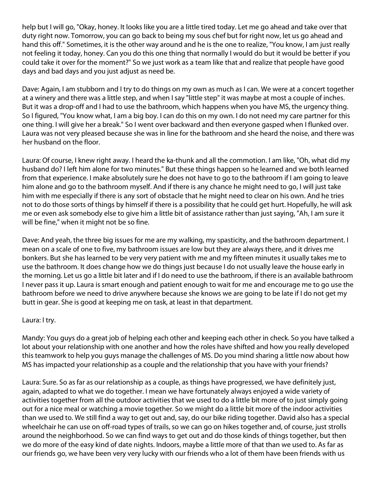help but I will go, "Okay, honey. It looks like you are a little tired today. Let me go ahead and take over that duty right now. Tomorrow, you can go back to being my sous chef but for right now, let us go ahead and hand this off." Sometimes, it is the other way around and he is the one to realize, "You know, I am just really not feeling it today, honey. Can you do this one thing that normally I would do but it would be better if you could take it over for the moment?" So we just work as a team like that and realize that people have good days and bad days and you just adjust as need be.

Dave: Again, I am stubborn and I try to do things on my own as much as I can. We were at a concert together at a winery and there was a little step, and when I say "little step" it was maybe at most a couple of inches. But it was a drop-off and I had to use the bathroom, which happens when you have MS, the urgency thing. So I figured, "You know what, I am a big boy. I can do this on my own. I do not need my care partner for this one thing. I will give her a break." So I went over backward and then everyone gasped when I flunked over. Laura was not very pleased because she was in line for the bathroom and she heard the noise, and there was her husband on the floor.

Laura: Of course, I knew right away. I heard the ka-thunk and all the commotion. I am like, "Oh, what did my husband do? I left him alone for two minutes." But these things happen so he learned and we both learned from that experience. I make absolutely sure he does not have to go to the bathroom if I am going to leave him alone and go to the bathroom myself. And if there is any chance he might need to go, I will just take him with me especially if there is any sort of obstacle that he might need to clear on his own. And he tries not to do those sorts of things by himself if there is a possibility that he could get hurt. Hopefully, he will ask me or even ask somebody else to give him a little bit of assistance rather than just saying, "Ah, I am sure it will be fine," when it might not be so fine.

Dave: And yeah, the three big issues for me are my walking, my spasticity, and the bathroom department. I mean on a scale of one to five, my bathroom issues are low but they are always there, and it drives me bonkers. But she has learned to be very very patient with me and my fifteen minutes it usually takes me to use the bathroom. It does change how we do things just because I do not usually leave the house early in the morning. Let us go a little bit later and if I do need to use the bathroom, if there is an available bathroom I never pass it up. Laura is smart enough and patient enough to wait for me and encourage me to go use the bathroom before we need to drive anywhere because she knows we are going to be late if I do not get my butt in gear. She is good at keeping me on task, at least in that department.

## Laura: I try.

Mandy: You guys do a great job of helping each other and keeping each other in check. So you have talked a lot about your relationship with one another and how the roles have shifted and how you really developed this teamwork to help you guys manage the challenges of MS. Do you mind sharing a little now about how MS has impacted your relationship as a couple and the relationship that you have with your friends?

Laura: Sure. So as far as our relationship as a couple, as things have progressed, we have definitely just, again, adapted to what we do together. I mean we have fortunately always enjoyed a wide variety of activities together from all the outdoor activities that we used to do a little bit more of to just simply going out for a nice meal or watching a movie together. So we might do a little bit more of the indoor activities than we used to. We still find a way to get out and, say, do our bike riding together. David also has a special wheelchair he can use on off-road types of trails, so we can go on hikes together and, of course, just strolls around the neighborhood. So we can find ways to get out and do those kinds of things together, but then we do more of the easy kind of date nights. Indoors, maybe a little more of that than we used to. As far as our friends go, we have been very very lucky with our friends who a lot of them have been friends with us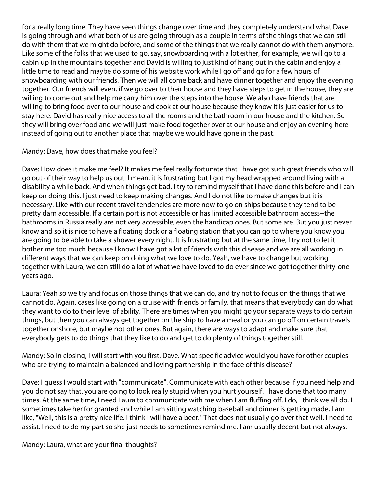for a really long time. They have seen things change over time and they completely understand what Dave is going through and what both of us are going through as a couple in terms of the things that we can still do with them that we might do before, and some of the things that we really cannot do with them anymore. Like some of the folks that we used to go, say, snowboarding with a lot either, for example, we will go to a cabin up in the mountains together and David is willing to just kind of hang out in the cabin and enjoy a little time to read and maybe do some of his website work while I go off and go for a few hours of snowboarding with our friends. Then we will all come back and have dinner together and enjoy the evening together. Our friends will even, if we go over to their house and they have steps to get in the house, they are willing to come out and help me carry him over the steps into the house. We also have friends that are willing to bring food over to our house and cook at our house because they know it is just easier for us to stay here. David has really nice access to all the rooms and the bathroom in our house and the kitchen. So they will bring over food and we will just make food together over at our house and enjoy an evening here instead of going out to another place that maybe we would have gone in the past.

## Mandy: Dave, how does that make you feel?

Dave: How does it make me feel? It makes me feel really fortunate that I have got such great friends who will go out of their way to help us out. I mean, it is frustrating but I got my head wrapped around living with a disability a while back. And when things get bad, I try to remind myself that I have done this before and I can keep on doing this. I just need to keep making changes. And I do not like to make changes but it is necessary. Like with our recent travel tendencies are more now to go on ships because they tend to be pretty darn accessible. If a certain port is not accessible or has limited accessible bathroom access--the bathrooms in Russia really are not very accessible, even the handicap ones. But some are. But you just never know and so it is nice to have a floating dock or a floating station that you can go to where you know you are going to be able to take a shower every night. It is frustrating but at the same time, I try not to let it bother me too much because I know I have got a lot of friends with this disease and we are all working in different ways that we can keep on doing what we love to do. Yeah, we have to change but working together with Laura, we can still do a lot of what we have loved to do ever since we got together thirty-one years ago.

Laura: Yeah so we try and focus on those things that we can do, and try not to focus on the things that we cannot do. Again, cases like going on a cruise with friends or family, that means that everybody can do what they want to do to their level of ability. There are times when you might go your separate ways to do certain things, but then you can always get together on the ship to have a meal or you can go off on certain travels together onshore, but maybe not other ones. But again, there are ways to adapt and make sure that everybody gets to do things that they like to do and get to do plenty of things together still.

Mandy: So in closing, I will start with you first, Dave. What specific advice would you have for other couples who are trying to maintain a balanced and loving partnership in the face of this disease?

Dave: I guess I would start with "communicate". Communicate with each other because if you need help and you do not say that, you are going to look really stupid when you hurt yourself. I have done that too many times. At the same time, I need Laura to communicate with me when I am fluffing off. I do, I think we all do. I sometimes take her for granted and while I am sitting watching baseball and dinner is getting made, I am like, "Well, this is a pretty nice life. I think I will have a beer." That does not usually go over that well. I need to assist. I need to do my part so she just needs to sometimes remind me. I am usually decent but not always.

Mandy: Laura, what are your final thoughts?